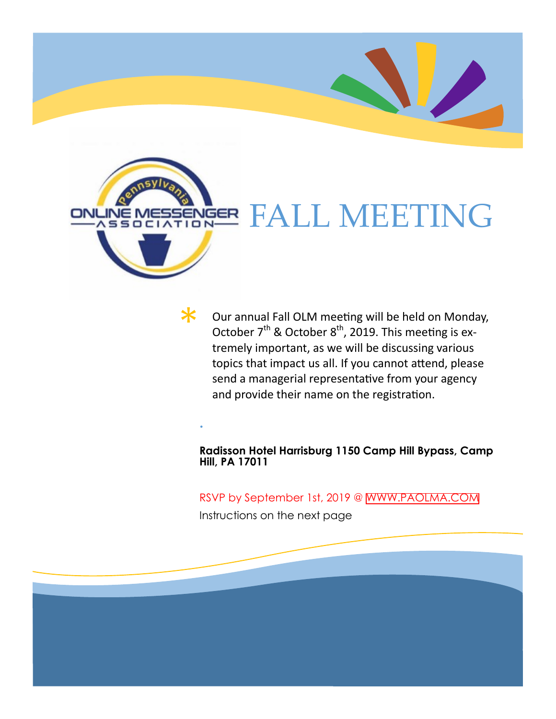

 $\bm{\varkappa}$ 

**.**

# **NGER FALL MEETING**

Our annual Fall OLM meeting will be held on Monday, October  $7<sup>th</sup>$  & October  $8<sup>th</sup>$ , 2019. This meeting is extremely important, as we will be discussing various topics that impact us all. If you cannot attend, please send a managerial representative from your agency and provide their name on the registration.

**Radisson Hotel Harrisburg 1150 Camp Hill Bypass, Camp Hill, PA 17011**

#### RSVP by September 1st, 2019 @ [WWW.PAOLMA.COM](www.paolma.com)

Instructions on the next page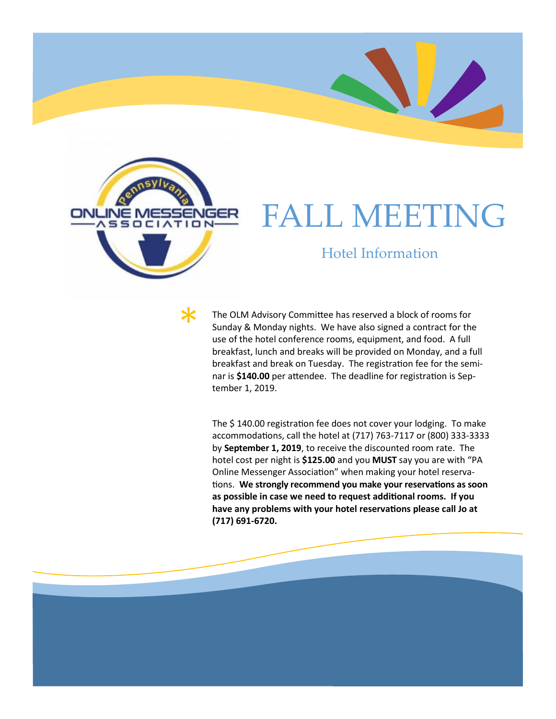

\*

### FALL MEETING

#### Hotel Information

The OLM Advisory Committee has reserved a block of rooms for Sunday & Monday nights. We have also signed a contract for the use of the hotel conference rooms, equipment, and food. A full breakfast, lunch and breaks will be provided on Monday, and a full breakfast and break on Tuesday. The registration fee for the seminar is **\$140.00** per attendee. The deadline for registration is September 1, 2019.

The \$ 140.00 registration fee does not cover your lodging. To make accommodations, call the hotel at (717) 763-7117 or (800) 333-3333 by **September 1, 2019**, to receive the discounted room rate. The hotel cost per night is **\$125.00** and you **MUST** say you are with "PA Online Messenger Association" when making your hotel reservations. **We strongly recommend you make your reservations as soon as possible in case we need to request additional rooms. If you have any problems with your hotel reservations please call Jo at (717) 691-6720.**